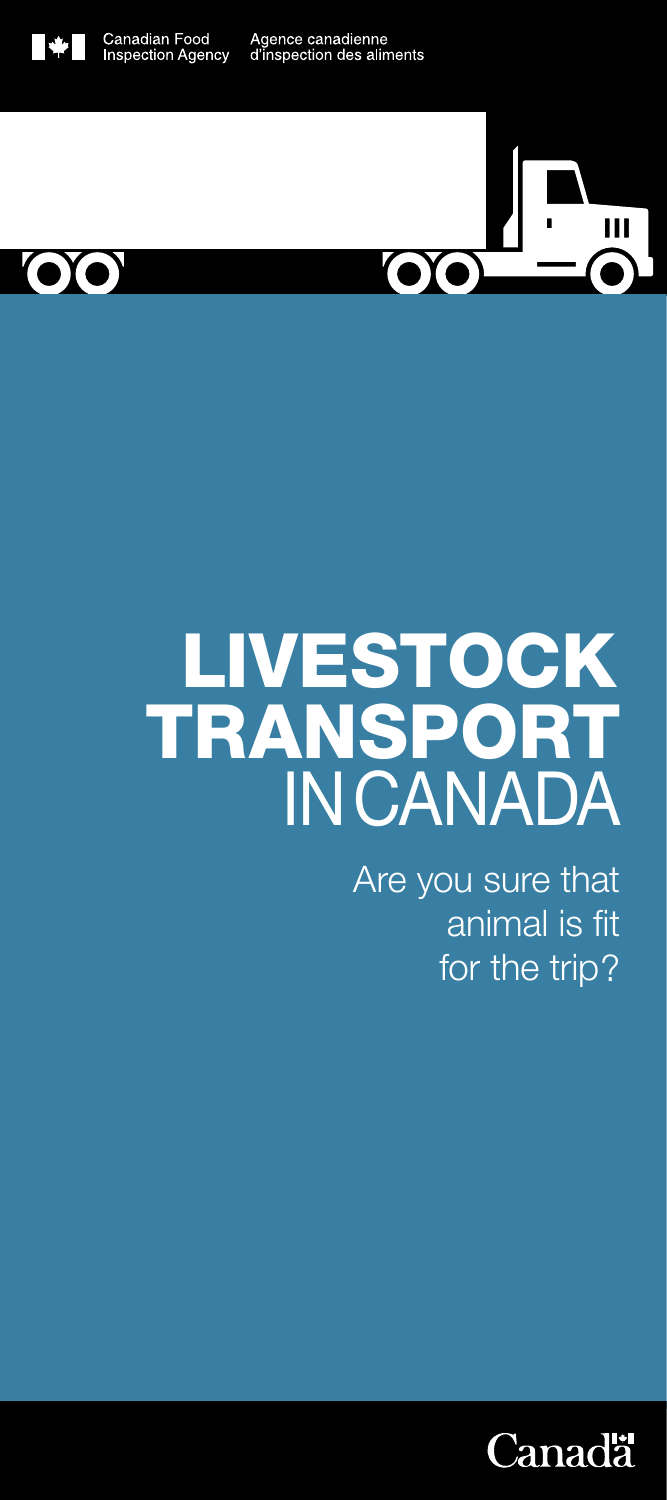



# TRANSPORT LIVESTOCK INCANADA

Are you sure that animal is fit for the trip?

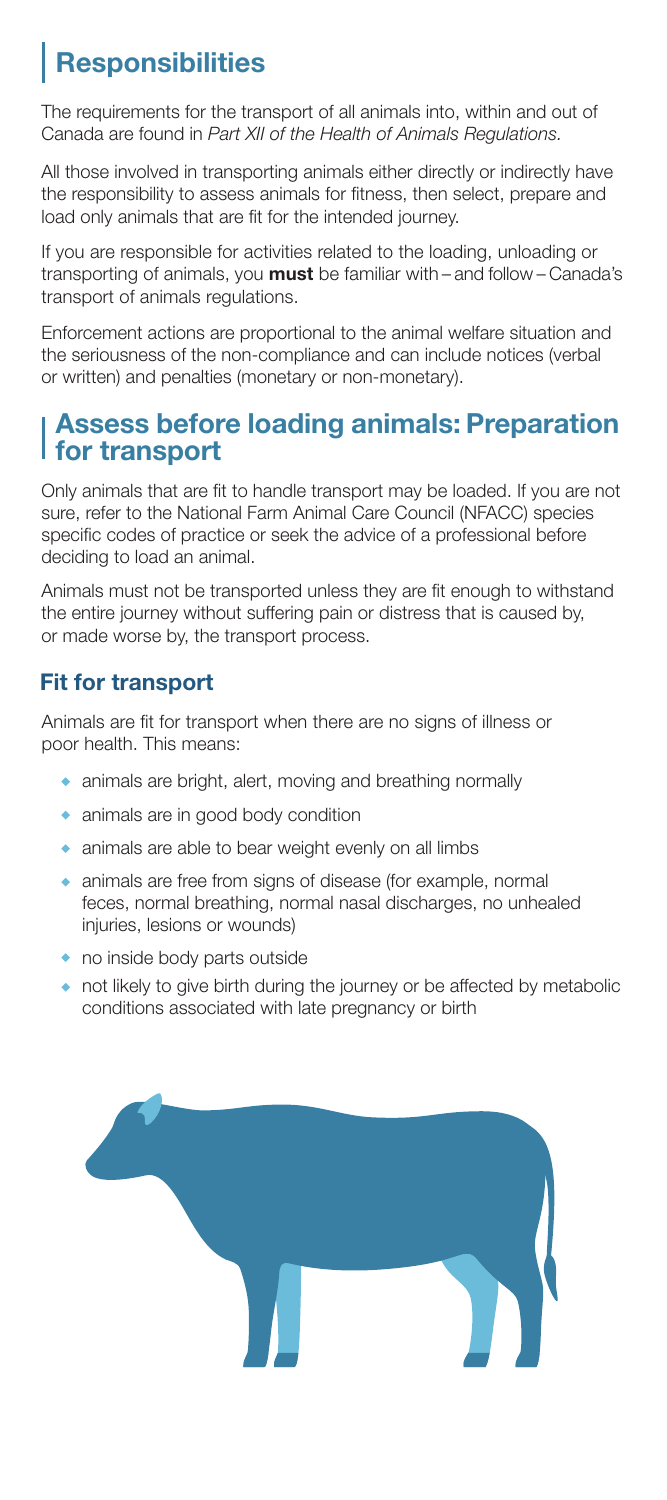## **Responsibilities**

The requirements for the transport of all animals into, within and out of Canada are found in *Part XII of the Health of Animals Regulations.*

All those involved in transporting animals either directly or indirectly have the responsibility to assess animals for fitness, then select, prepare and load only animals that are fit for the intended journey.

If you are responsible for activities related to the loading, unloading or transporting of animals, you **must** be familiar with – and follow – Canada's transport of animals regulations.

Enforcement actions are proportional to the animal welfare situation and the seriousness of the non-compliance and can include notices (verbal or written) and penalties (monetary or non-monetary).

## Assess before loading animals: Preparation for transport

Only animals that are fit to handle transport may be loaded. If you are not sure, refer to the National Farm Animal Care Council (NFACC) species specific codes of practice or seek the advice of a professional before deciding to load an animal.

Animals must not be transported unless they are fit enough to withstand the entire journey without suffering pain or distress that is caused by, or made worse by, the transport process.

## Fit for transport

Animals are fit for transport when there are no signs of illness or poor health. This means:

- animals are bright, alert, moving and breathing normally
- animals are in good body condition
- animals are able to bear weight evenly on all limbs
- animals are free from signs of disease (for example, normal feces, normal breathing, normal nasal discharges, no unhealed injuries, lesions or wounds)
- no inside body parts outside
- not likely to give birth during the journey or be affected by metabolic conditions associated with late pregnancy or birth

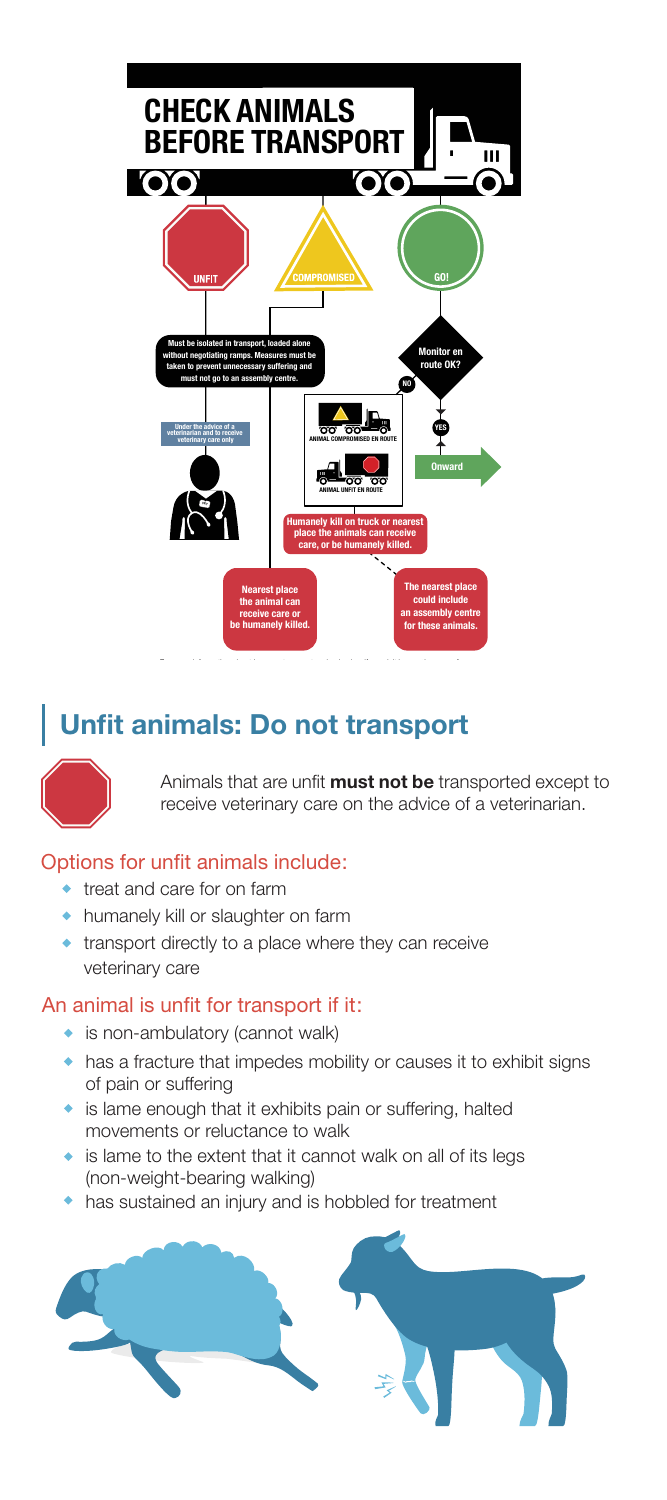

## Unfit animals: Do not transport



Animals that are unfit **must not be** transported except to receive veterinary care on the advice of a veterinarian.

#### Options for unfit animals include:

- treat and care for on farm
- humanely kill or slaughter on farm
- transport directly to a place where they can receive veterinary care

#### An animal is unfit for transport if it:

- is non-ambulatory (cannot walk)
- has a fracture that impedes mobility or causes it to exhibit signs of pain or suffering
- is lame enough that it exhibits pain or suffering, halted movements or reluctance to walk
- is lame to the extent that it cannot walk on all of its legs (non-weight-bearing walking)
- has sustained an injury and is hobbled for treatment

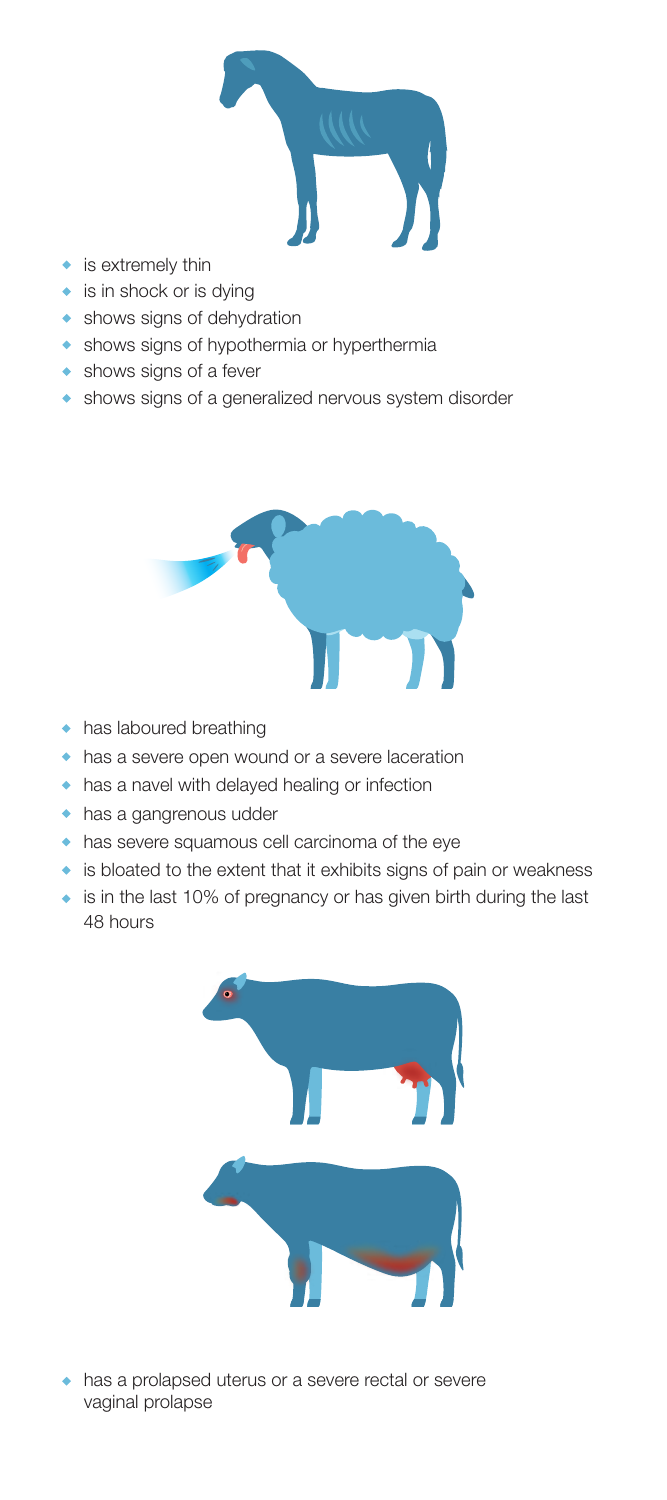

- is extremely thin
- is in shock or is dying
- **\*** shows signs of dehydration
- shows signs of hypothermia or hyperthermia
- shows signs of a fever
- shows signs of a generalized nervous system disorder



- has laboured breathing
- has a severe open wound or a severe laceration
- has a navel with delayed healing or infection
- has a gangrenous udder
- has severe squamous cell carcinoma of the eye
- is bloated to the extent that it exhibits signs of pain or weakness
- ◆ is in the last 10% of pregnancy or has given birth during the last 48 hours



has a prolapsed uterus or a severe rectal or severe vaginal prolapse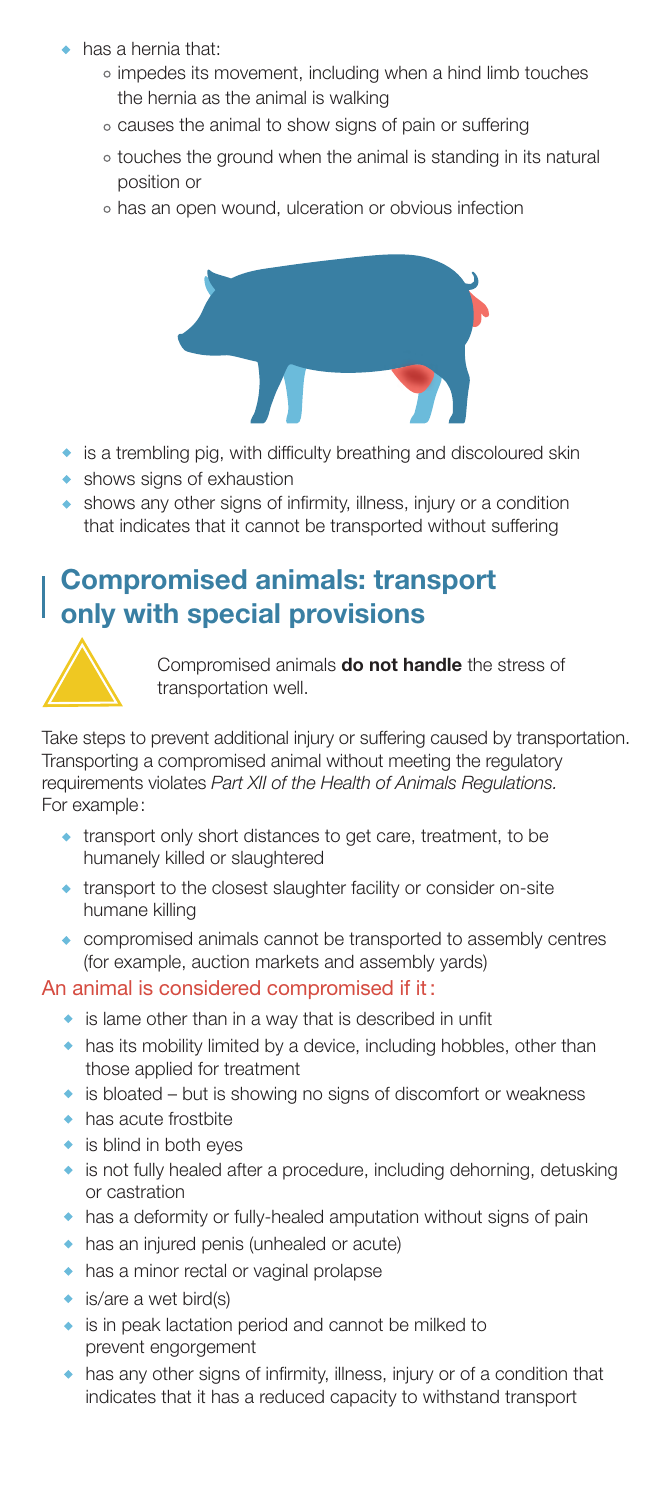- has a hernia that:
	- impedes its movement, including when a hind limb touches the hernia as the animal is walking
	- causes the animal to show signs of pain or suffering
	- touches the ground when the animal is standing in its natural position or
	- o has an open wound, ulceration or obvious infection



- is a trembling pig, with difficulty breathing and discoloured skin
- shows signs of exhaustion
- shows any other signs of infirmity, illness, injury or a condition that indicates that it cannot be transported without suffering

## Compromised animals: transport only with special provisions



Compromised animals do not handle the stress of transportation well.

Take steps to prevent additional injury or suffering caused by transportation. Transporting a compromised animal without meeting the regulatory requirements violates *Part XII of the Health of Animals Regulations.*  For example:

- transport only short distances to get care, treatment, to be humanely killed or slaughtered
- transport to the closest slaughter facility or consider on-site humane killing
- compromised animals cannot be transported to assembly centres (for example, auction markets and assembly yards)

#### An animal is considered compromised if it :

- is lame other than in a way that is described in unfit
- has its mobility limited by a device, including hobbles, other than those applied for treatment
- is bloated but is showing no signs of discomfort or weakness
- has acute frostbite
- is blind in both eyes
- is not fully healed after a procedure, including dehorning, detusking or castration
- has a deformity or fully-healed amputation without signs of pain
- has an injured penis (unhealed or acute)
- has a minor rectal or vaginal prolapse
- is/are a wet bird(s)
- is in peak lactation period and cannot be milked to prevent engorgement
- has any other signs of infirmity, illness, injury or of a condition that indicates that it has a reduced capacity to withstand transport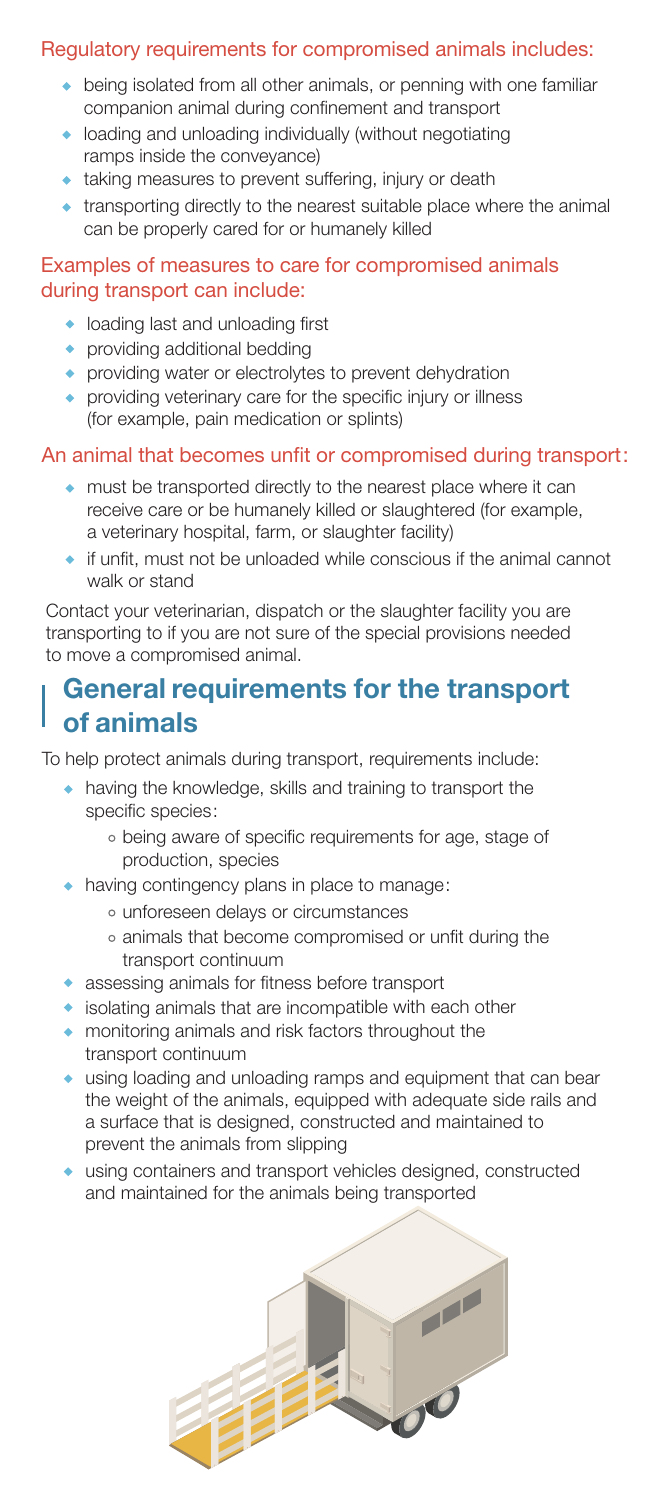### Regulatory requirements for compromised animals includes:

- being isolated from all other animals, or penning with one familiar companion animal during confinement and transport
- loading and unloading individually (without negotiating ramps inside the conveyance)
- taking measures to prevent suffering, injury or death
- transporting directly to the nearest suitable place where the animal can be properly cared for or humanely killed

#### Examples of measures to care for compromised animals during transport can include:

- loading last and unloading first
- providing additional bedding
- providing water or electrolytes to prevent dehydration
- providing veterinary care for the specific injury or illness (for example, pain medication or splints)

#### An animal that becomes unfit or compromised during transport:

- must be transported directly to the nearest place where it can receive care or be humanely killed or slaughtered (for example, a veterinary hospital, farm, or slaughter facility)
- $\bullet$  if unfit, must not be unloaded while conscious if the animal cannot walk or stand

Contact your veterinarian, dispatch or the slaughter facility you are transporting to if you are not sure of the special provisions needed to move a compromised animal.

## General requirements for the transport of animals

To help protect animals during transport, requirements include:

- having the knowledge, skills and training to transport the specific species:
	- being aware of specific requirements for age, stage of production, species
- having contingency plans in place to manage:
	- unforeseen delays or circumstances
	- animals that become compromised or unfit during the transport continuum
- assessing animals for fitness before transport
- isolating animals that are incompatible with each other
- monitoring animals and risk factors throughout the transport continuum
- using loading and unloading ramps and equipment that can bear the weight of the animals, equipped with adequate side rails and a surface that is designed, constructed and maintained to prevent the animals from slipping
- using containers and transport vehicles designed, constructed and maintained for the animals being transported

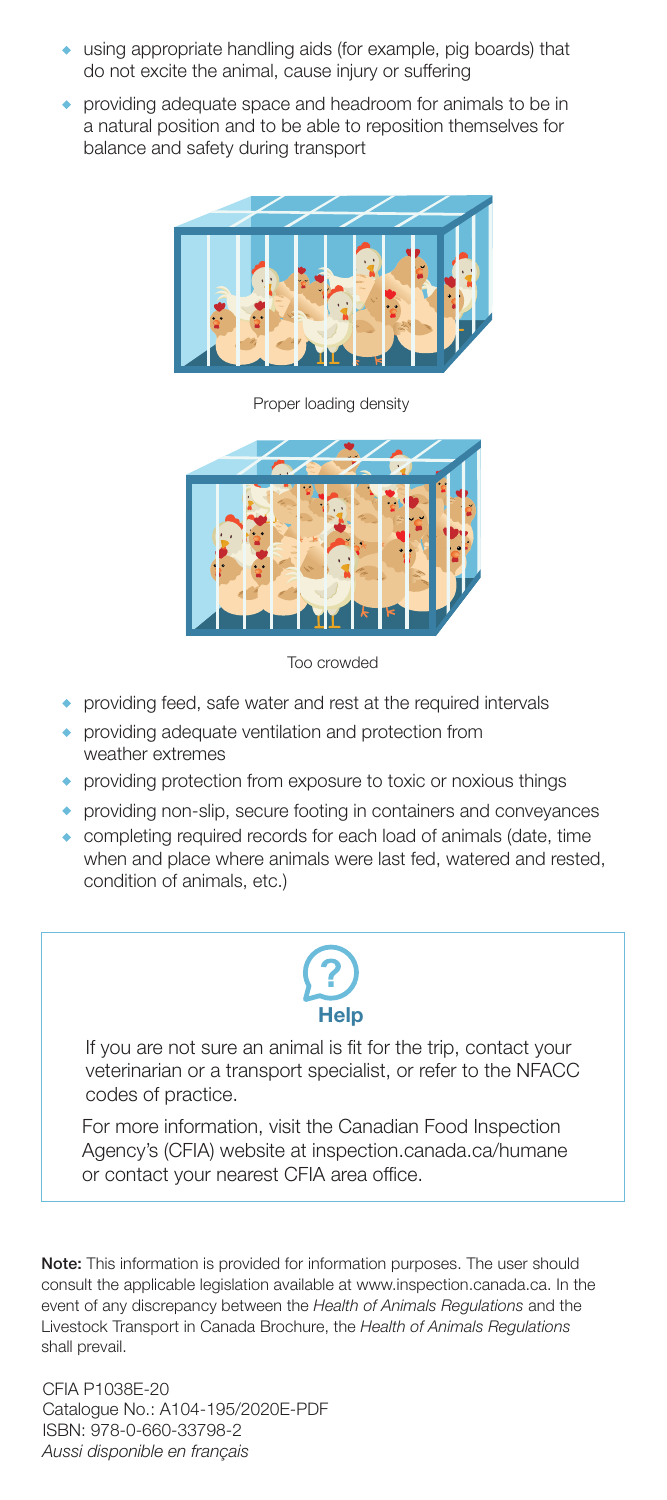- using appropriate handling aids (for example, pig boards) that do not excite the animal, cause injury or suffering
- providing adequate space and headroom for animals to be in a natural position and to be able to reposition themselves for balance and safety during transport



Proper loading density



Too crowded

- providing feed, safe water and rest at the required intervals
- providing adequate ventilation and protection from weather extremes
- providing protection from exposure to toxic or noxious things
- providing non-slip, secure footing in containers and conveyances
- completing required records for each load of animals (date, time when and place where animals were last fed, watered and rested, condition of animals, etc.)



If you are not sure an animal is fit for the trip, contact your veterinarian or a transport specialist, or refer to the NFACC codes of practice.

For more information, visit the Canadian Food Inspection Agency's (CFIA) website at inspection.canada.ca/humane or contact your nearest CFIA area office.

Note: This information is provided for information purposes. The user should consult the applicable legislation available at www.inspection.canada.ca. In the event of any discrepancy between the *Health of Animals Regulations* and the Livestock Transport in Canada Brochure, the *Health of Animals Regulations* shall prevail.

CFIA P1038E-20 Catalogue No.: A104-195/2020E-PDF ISBN: 978-0-660-33798-2 *Aussi disponible en français*